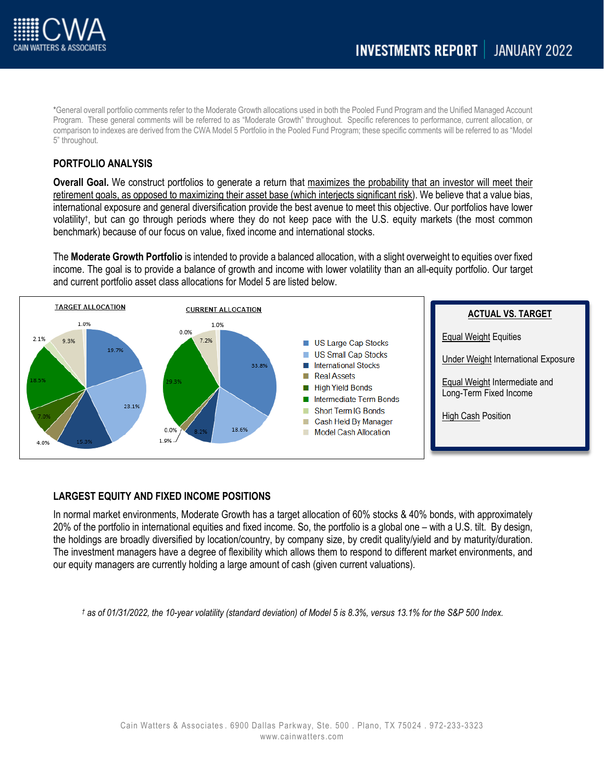

\*General overall portfolio comments refer to the Moderate Growth allocations used in both the Pooled Fund Program and the Unified Managed Account Program. These general comments will be referred to as "Moderate Growth" throughout. Specific references to performance, current allocation, or comparison to indexes are derived from the CWA Model 5 Portfolio in the Pooled Fund Program; these specific comments will be referred to as "Model 5" throughout.

## **PORTFOLIO ANALYSIS**

**Overall Goal.** We construct portfolios to generate a return that maximizes the probability that an investor will meet their retirement goals, as opposed to maximizing their asset base (which interjects significant risk). We believe that a value bias, international exposure and general diversification provide the best avenue to meet this objective. Our portfolios have lower volatility†, but can go through periods where they do not keep pace with the U.S. equity markets (the most common benchmark) because of our focus on value, fixed income and international stocks.

The **Moderate Growth Portfolio** is intended to provide a balanced allocation, with a slight overweight to equities over fixed income. The goal is to provide a balance of growth and income with lower volatility than an all-equity portfolio. Our target and current portfolio asset class allocations for Model 5 are listed below.



# **LARGEST EQUITY AND FIXED INCOME POSITIONS**

In normal market environments, Moderate Growth has a target allocation of 60% stocks & 40% bonds, with approximately 20% of the portfolio in international equities and fixed income. So, the portfolio is a global one – with a U.S. tilt. By design, the holdings are broadly diversified by location/country, by company size, by credit quality/yield and by maturity/duration. The investment managers have a degree of flexibility which allows them to respond to different market environments, and our equity managers are currently holding a large amount of cash (given current valuations).

*† as of 01/31/2022, the 10-year volatility (standard deviation) of Model 5 is 8.3%, versus 13.1% for the S&P 500 Index.*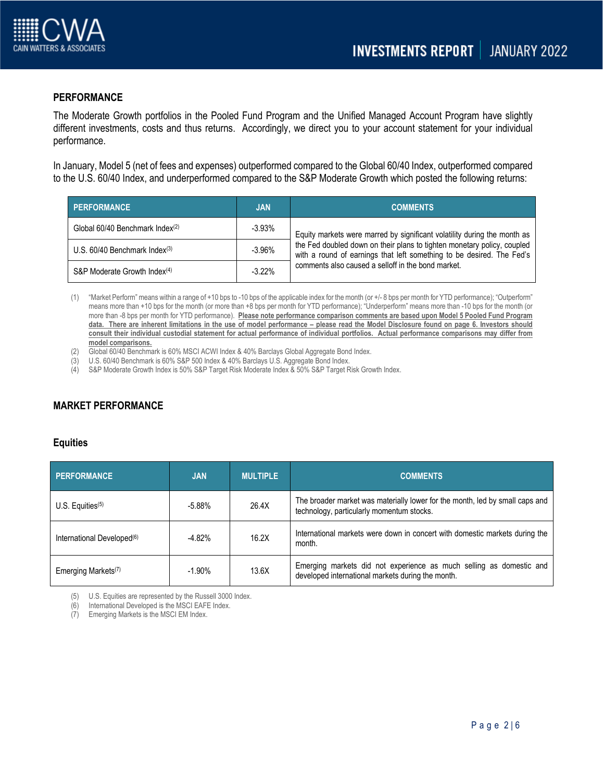

## **PERFORMANCE**

The Moderate Growth portfolios in the Pooled Fund Program and the Unified Managed Account Program have slightly different investments, costs and thus returns. Accordingly, we direct you to your account statement for your individual performance.

In January, Model 5 (net of fees and expenses) outperformed compared to the Global 60/40 Index, outperformed compared to the U.S. 60/40 Index, and underperformed compared to the S&P Moderate Growth which posted the following returns:

| <b>PERFORMANCE</b>                          | <b>JAN</b> | <b>COMMENTS</b>                                                                                                                                                                                                              |  |
|---------------------------------------------|------------|------------------------------------------------------------------------------------------------------------------------------------------------------------------------------------------------------------------------------|--|
| Global 60/40 Benchmark Index(2)             | $-3.93%$   | Equity markets were marred by significant volatility during the month as<br>the Fed doubled down on their plans to tighten monetary policy, coupled<br>with a round of earnings that left something to be desired. The Fed's |  |
| U.S. $60/40$ Benchmark Index <sup>(3)</sup> | $-3.96%$   |                                                                                                                                                                                                                              |  |
| S&P Moderate Growth Index <sup>(4)</sup>    | $-3.22\%$  | comments also caused a selloff in the bond market.                                                                                                                                                                           |  |

(1) "Market Perform" means within a range of +10 bps to -10 bps of the applicable index for the month (or +/- 8 bps per month for YTD performance); "Outperform" means more than +10 bps for the month (or more than +8 bps per month for YTD performance); "Underperform" means more than -10 bps for the month (or more than -8 bps per month for YTD performance). **Please note performance comparison comments are based upon Model 5 Pooled Fund Program data. There are inherent limitations in the use of model performance – please read the Model Disclosure found on page 6. Investors should consult their individual custodial statement for actual performance of individual portfolios. Actual performance comparisons may differ from model comparisons.** 

- (2) Global 60/40 Benchmark is 60% MSCI ACWI Index & 40% Barclays Global Aggregate Bond Index.
- (3) U.S. 60/40 Benchmark is 60% S&P 500 Index & 40% Barclays U.S. Aggregate Bond Index.
- (4) S&P Moderate Growth Index is 50% S&P Target Risk Moderate Index & 50% S&P Target Risk Growth Index.

# **MARKET PERFORMANCE**

### **Equities**

| <b>PERFORMANCE</b>                     | <b>JAN</b> | <b>MULTIPLE</b> | <b>COMMENTS</b>                                                                                                           |
|----------------------------------------|------------|-----------------|---------------------------------------------------------------------------------------------------------------------------|
| U.S. Equities $(5)$                    | $-5.88%$   | 26.4X           | The broader market was materially lower for the month, led by small caps and<br>technology, particularly momentum stocks. |
| International Developed <sup>(6)</sup> | $-4.82%$   | 16.2X           | International markets were down in concert with domestic markets during the<br>month.                                     |
| Emerging Markets <sup>(7)</sup>        | $-1.90%$   | 13.6X           | Emerging markets did not experience as much selling as domestic and<br>developed international markets during the month.  |

(5) U.S. Equities are represented by the Russell 3000 Index.

(6) International Developed is the MSCI EAFE Index.

(7) Emerging Markets is the MSCI EM Index.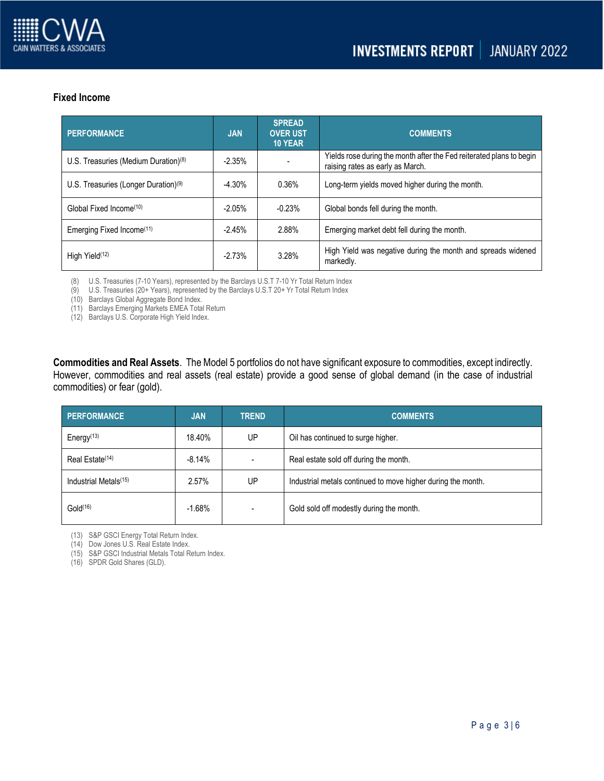

# **Fixed Income**

| <b>PERFORMANCE</b>                               | <b>JAN</b> | <b>SPREAD</b><br><b>OVER UST</b><br><b>10 YEAR</b> | <b>COMMENTS</b>                                                                                          |
|--------------------------------------------------|------------|----------------------------------------------------|----------------------------------------------------------------------------------------------------------|
| U.S. Treasuries (Medium Duration) $(8)$          | $-2.35%$   |                                                    | Yields rose during the month after the Fed reiterated plans to begin<br>raising rates as early as March. |
| U.S. Treasuries (Longer Duration) <sup>(9)</sup> | $-4.30%$   | 0.36%                                              | Long-term yields moved higher during the month.                                                          |
| Global Fixed Income <sup>(10)</sup>              | $-2.05%$   | $-0.23%$                                           | Global bonds fell during the month.                                                                      |
| Emerging Fixed Income <sup>(11)</sup>            | $-2.45%$   | 2.88%                                              | Emerging market debt fell during the month.                                                              |
| High Yield <sup>(12)</sup>                       | $-2.73%$   | 3.28%                                              | High Yield was negative during the month and spreads widened<br>markedly.                                |

(8) U.S. Treasuries (7-10 Years), represented by the Barclays U.S.T 7-10 Yr Total Return Index

(9) U.S. Treasuries (20+ Years), represented by the Barclays U.S.T 20+ Yr Total Return Index

(10) Barclays Global Aggregate Bond Index.

(11) Barclays Emerging Markets EMEA Total Return

(12) Barclays U.S. Corporate High Yield Index.

**Commodities and Real Assets**. The Model 5 portfolios do not have significant exposure to commodities, except indirectly. However, commodities and real assets (real estate) provide a good sense of global demand (in the case of industrial commodities) or fear (gold).

| <b>PERFORMANCE</b>                | <b>JAN</b> | <b>TREND</b> | <b>COMMENTS</b>                                              |
|-----------------------------------|------------|--------------|--------------------------------------------------------------|
| Energy $(13)$                     | 18.40%     | UP           | Oil has continued to surge higher.                           |
| Real Estate <sup>(14)</sup>       | $-8.14%$   |              | Real estate sold off during the month.                       |
| Industrial Metals <sup>(15)</sup> | 2.57%      | UP           | Industrial metals continued to move higher during the month. |
| Gold <sup>(16)</sup>              | $-1.68%$   |              | Gold sold off modestly during the month.                     |

(13) S&P GSCI Energy Total Return Index.

(14) Dow Jones U.S. Real Estate Index.

(15) S&P GSCI Industrial Metals Total Return Index.

(16) SPDR Gold Shares (GLD).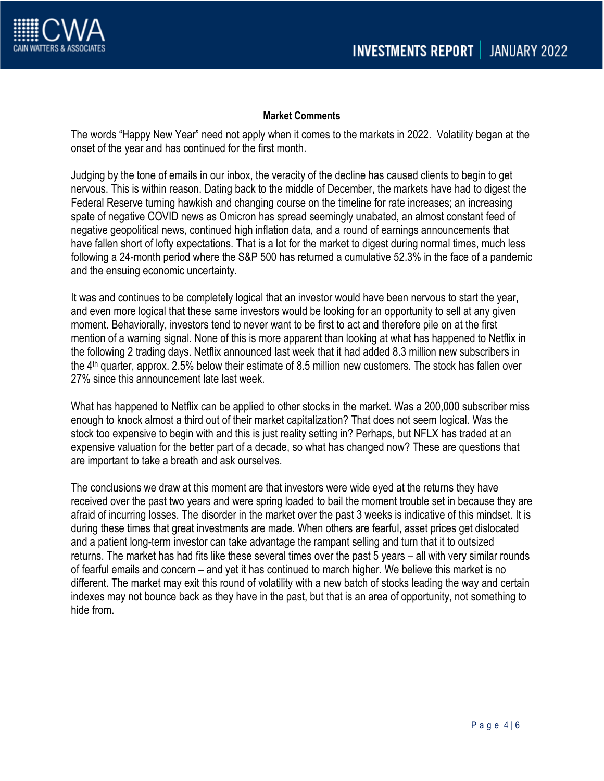

## **Market Comments**

The words "Happy New Year" need not apply when it comes to the markets in 2022. Volatility began at the onset of the year and has continued for the first month.

Judging by the tone of emails in our inbox, the veracity of the decline has caused clients to begin to get nervous. This is within reason. Dating back to the middle of December, the markets have had to digest the Federal Reserve turning hawkish and changing course on the timeline for rate increases; an increasing spate of negative COVID news as Omicron has spread seemingly unabated, an almost constant feed of negative geopolitical news, continued high inflation data, and a round of earnings announcements that have fallen short of lofty expectations. That is a lot for the market to digest during normal times, much less following a 24-month period where the S&P 500 has returned a cumulative 52.3% in the face of a pandemic and the ensuing economic uncertainty.

It was and continues to be completely logical that an investor would have been nervous to start the year, and even more logical that these same investors would be looking for an opportunity to sell at any given moment. Behaviorally, investors tend to never want to be first to act and therefore pile on at the first mention of a warning signal. None of this is more apparent than looking at what has happened to Netflix in the following 2 trading days. Netflix announced last week that it had added 8.3 million new subscribers in the 4th quarter, approx. 2.5% below their estimate of 8.5 million new customers. The stock has fallen over 27% since this announcement late last week.

What has happened to Netflix can be applied to other stocks in the market. Was a 200,000 subscriber miss enough to knock almost a third out of their market capitalization? That does not seem logical. Was the stock too expensive to begin with and this is just reality setting in? Perhaps, but NFLX has traded at an expensive valuation for the better part of a decade, so what has changed now? These are questions that are important to take a breath and ask ourselves.

The conclusions we draw at this moment are that investors were wide eyed at the returns they have received over the past two years and were spring loaded to bail the moment trouble set in because they are afraid of incurring losses. The disorder in the market over the past 3 weeks is indicative of this mindset. It is during these times that great investments are made. When others are fearful, asset prices get dislocated and a patient long-term investor can take advantage the rampant selling and turn that it to outsized returns. The market has had fits like these several times over the past 5 years – all with very similar rounds of fearful emails and concern – and yet it has continued to march higher. We believe this market is no different. The market may exit this round of volatility with a new batch of stocks leading the way and certain indexes may not bounce back as they have in the past, but that is an area of opportunity, not something to hide from.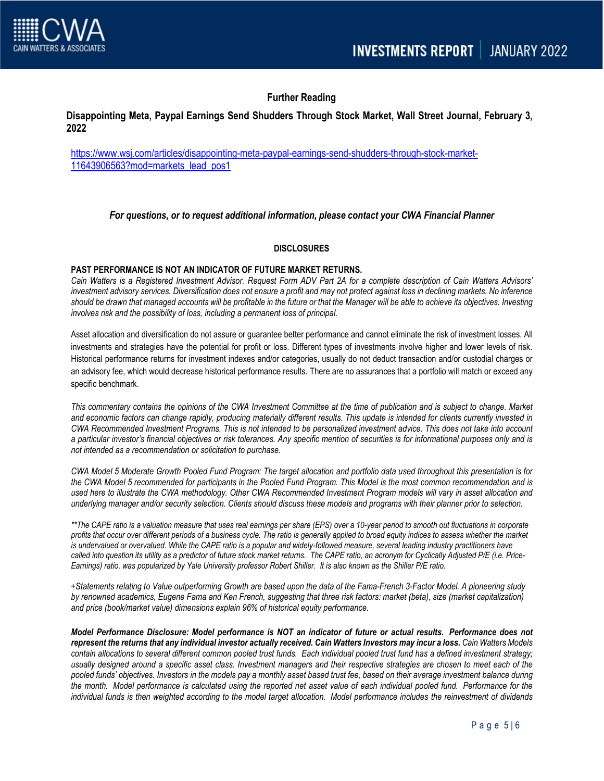

# **Further Reading**

## **Disappointing Meta, Paypal Earnings Send Shudders Through Stock Market, Wall Street Journal, February 3, 2022**

[https://www.wsj.com/articles/disappointing-meta-paypal-earnings-send-shudders-through-stock-market-](https://www.wsj.com/articles/disappointing-meta-paypal-earnings-send-shudders-through-stock-market-11643906563?mod=markets_lead_pos1)[11643906563?mod=markets\\_lead\\_pos1](https://www.wsj.com/articles/disappointing-meta-paypal-earnings-send-shudders-through-stock-market-11643906563?mod=markets_lead_pos1)

### *For questions, or to request additional information, please contact your CWA Financial Planner*

#### **DISCLOSURES**

#### **PAST PERFORMANCE IS NOT AN INDICATOR OF FUTURE MARKET RETURNS.**

*Cain Watters is a Registered Investment Advisor. Request Form ADV Part 2A for a complete description of Cain Watters Advisors' investment advisory services. Diversification does not ensure a profit and may not protect against loss in declining markets. No inference should be drawn that managed accounts will be profitable in the future or that the Manager will be able to achieve its objectives. Investing involves risk and the possibility of loss, including a permanent loss of principal.*

Asset allocation and diversification do not assure or guarantee better performance and cannot eliminate the risk of investment losses. All investments and strategies have the potential for profit or loss. Different types of investments involve higher and lower levels of risk. Historical performance returns for investment indexes and/or categories, usually do not deduct transaction and/or custodial charges or an advisory fee, which would decrease historical performance results. There are no assurances that a portfolio will match or exceed any specific benchmark.

*This commentary contains the opinions of the CWA Investment Committee at the time of publication and is subject to change. Market and economic factors can change rapidly, producing materially different results. This update is intended for clients currently invested in CWA Recommended Investment Programs. This is not intended to be personalized investment advice. This does not take into account a particular investor's financial objectives or risk tolerances. Any specific mention of securities is for informational purposes only and is not intended as a recommendation or solicitation to purchase.*

*CWA Model 5 Moderate Growth Pooled Fund Program: The target allocation and portfolio data used throughout this presentation is for the CWA Model 5 recommended for participants in the Pooled Fund Program. This Model is the most common recommendation and is used here to illustrate the CWA methodology. Other CWA Recommended Investment Program models will vary in asset allocation and underlying manager and/or security selection. Clients should discuss these models and programs with their planner prior to selection.*

*\*\*The CAPE ratio is a valuation measure that uses real earnings per share (EPS) over a 10-year period to smooth out fluctuations in corporate profits that occur over different periods of a business cycle. The ratio is generally applied to broad equity indices to assess whether the market*  is undervalued or overvalued. While the CAPE ratio is a popular and widely-followed measure, several leading industry practitioners have *called into question its utility as a predictor of future stock market returns. The CAPE ratio, an acronym for Cyclically Adjusted P/E (i.e. Price-Earnings) ratio, was popularized by Yale University professor Robert Shiller. It is also known as the Shiller P/E ratio.*

*+Statements relating to Value outperforming Growth are based upon the data of the Fama-French 3-Factor Model. A pioneering study by renowned academics, Eugene Fama and Ken French, suggesting that three risk factors: market (beta), size (market capitalization) and price (book/market value) dimensions explain 96% of historical equity performance.*

*Model Performance Disclosure: Model performance is NOT an indicator of future or actual results. Performance does not represent the returns that any individual investor actually received. Cain Watters Investors may incur a loss. Cain Watters Models contain allocations to several different common pooled trust funds. Each individual pooled trust fund has a defined investment strategy; usually designed around a specific asset class. Investment managers and their respective strategies are chosen to meet each of the pooled funds' objectives. Investors in the models pay a monthly asset based trust fee, based on their average investment balance during the month. Model performance is calculated using the reported net asset value of each individual pooled fund. Performance for the individual funds is then weighted according to the model target allocation. Model performance includes the reinvestment of dividends*